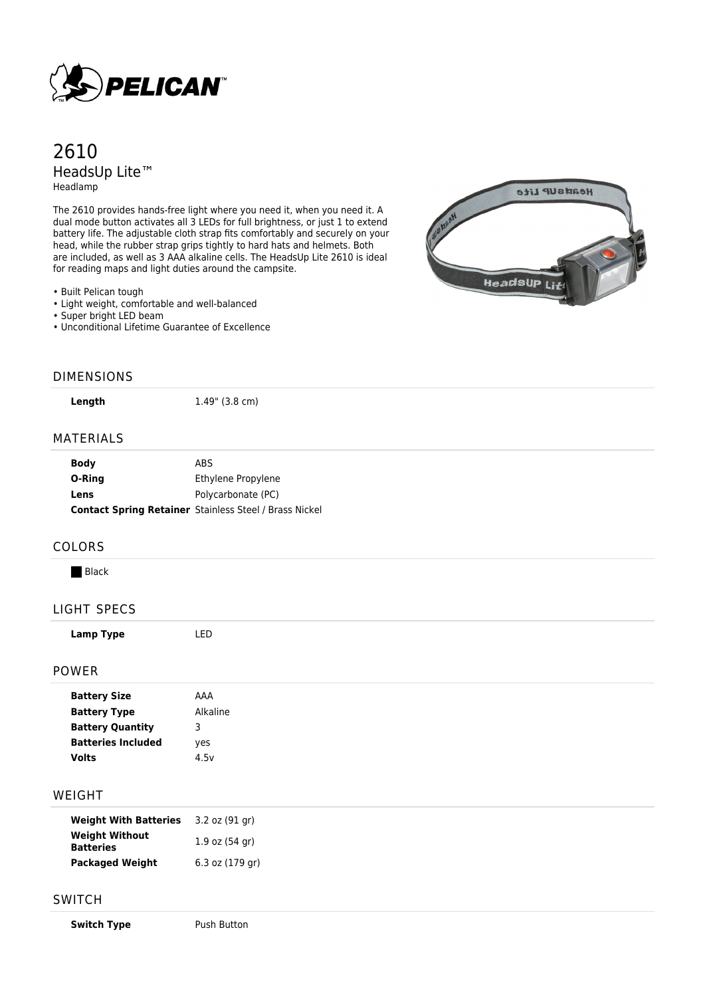

## 2610 HeadsUp Lite™ Headlamp

The 2610 provides hands-free light where you need it, when you need it. A dual mode button activates all 3 LEDs for full brightness, or just 1 to extend battery life. The adjustable cloth strap fits comfortably and securely on your head, while the rubber strap grips tightly to hard hats and helmets. Both are included, as well as 3 AAA alkaline cells. The HeadsUp Lite 2610 is ideal for reading maps and light duties around the campsite.

• Built Pelican tough

- Light weight, comfortable and well-balanced
- Super bright LED beam
- Unconditional Lifetime Guarantee of Excellence



#### DIMENSIONS

**Length** 1.49" (3.8 cm)

#### MATERIALS

| <b>Body</b> | ABS                                                           |
|-------------|---------------------------------------------------------------|
| O-Ring      | Ethylene Propylene                                            |
| Lens        | Polycarbonate (PC)                                            |
|             | <b>Contact Spring Retainer</b> Stainless Steel / Brass Nickel |

#### COLORS

**Black** 

### LIGHT SPECS

**Lamp Type** LED

#### POWER

| <b>Battery Size</b>       | AAA      |
|---------------------------|----------|
| <b>Battery Type</b>       | Alkaline |
| <b>Battery Quantity</b>   | 3        |
| <b>Batteries Included</b> | yes      |
| Volts                     | 4.5v     |

#### WEIGHT

| <b>Weight With Batteries</b>              | $3.2$ oz $(91$ gr) |
|-------------------------------------------|--------------------|
| <b>Weight Without</b><br><b>Batteries</b> | $1.9$ oz $(54$ gr) |
| <b>Packaged Weight</b>                    | 6.3 oz (179 gr)    |

### SWITCH

**Switch Type** Push Button